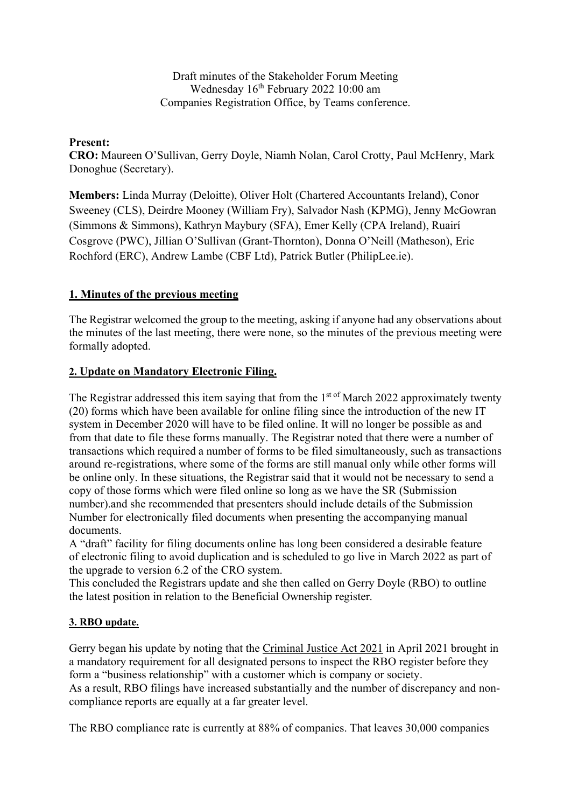Draft minutes of the Stakeholder Forum Meeting Wednesday  $16<sup>th</sup>$  February 2022 10:00 am Companies Registration Office, by Teams conference.

### Present:

CRO: Maureen O'Sullivan, Gerry Doyle, Niamh Nolan, Carol Crotty, Paul McHenry, Mark Donoghue (Secretary).

Members: Linda Murray (Deloitte), Oliver Holt (Chartered Accountants Ireland), Conor Sweeney (CLS), Deirdre Mooney (William Fry), Salvador Nash (KPMG), Jenny McGowran (Simmons & Simmons), Kathryn Maybury (SFA), Emer Kelly (CPA Ireland), Ruairí Cosgrove (PWC), Jillian O'Sullivan (Grant-Thornton), Donna O'Neill (Matheson), Eric Rochford (ERC), Andrew Lambe (CBF Ltd), Patrick Butler (PhilipLee.ie).

# 1. Minutes of the previous meeting

The Registrar welcomed the group to the meeting, asking if anyone had any observations about the minutes of the last meeting, there were none, so the minutes of the previous meeting were formally adopted.

# 2. Update on Mandatory Electronic Filing.

The Registrar addressed this item saying that from the  $1<sup>st of</sup> March 2022$  approximately twenty (20) forms which have been available for online filing since the introduction of the new IT system in December 2020 will have to be filed online. It will no longer be possible as and from that date to file these forms manually. The Registrar noted that there were a number of transactions which required a number of forms to be filed simultaneously, such as transactions around re-registrations, where some of the forms are still manual only while other forms will be online only. In these situations, the Registrar said that it would not be necessary to send a copy of those forms which were filed online so long as we have the SR (Submission number).and she recommended that presenters should include details of the Submission Number for electronically filed documents when presenting the accompanying manual documents.

A "draft" facility for filing documents online has long been considered a desirable feature of electronic filing to avoid duplication and is scheduled to go live in March 2022 as part of the upgrade to version 6.2 of the CRO system.

This concluded the Registrars update and she then called on Gerry Doyle (RBO) to outline the latest position in relation to the Beneficial Ownership register.

# 3. RBO update.

Gerry began his update by noting that the Criminal Justice Act 2021 in April 2021 brought in a mandatory requirement for all designated persons to inspect the RBO register before they form a "business relationship" with a customer which is company or society. As a result, RBO filings have increased substantially and the number of discrepancy and noncompliance reports are equally at a far greater level.

The RBO compliance rate is currently at 88% of companies. That leaves 30,000 companies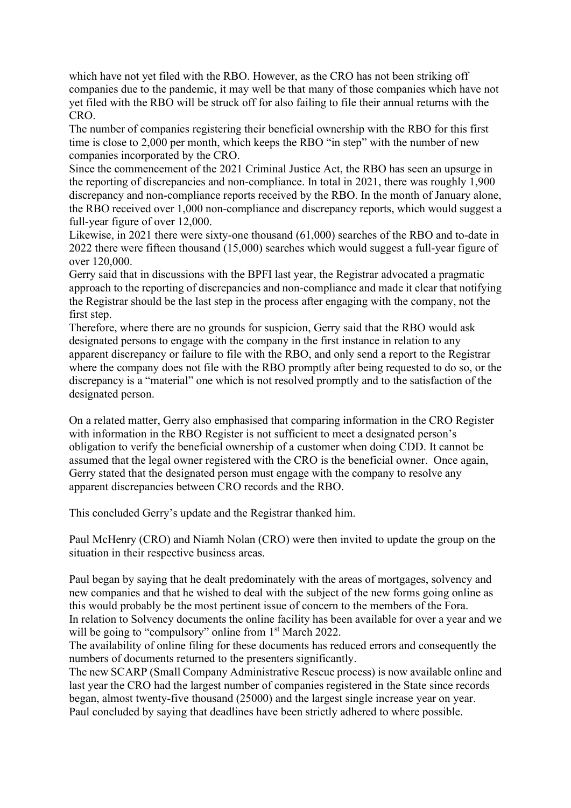which have not yet filed with the RBO. However, as the CRO has not been striking off companies due to the pandemic, it may well be that many of those companies which have not yet filed with the RBO will be struck off for also failing to file their annual returns with the CRO.

The number of companies registering their beneficial ownership with the RBO for this first time is close to 2,000 per month, which keeps the RBO "in step" with the number of new companies incorporated by the CRO.

Since the commencement of the 2021 Criminal Justice Act, the RBO has seen an upsurge in the reporting of discrepancies and non-compliance. In total in 2021, there was roughly 1,900 discrepancy and non-compliance reports received by the RBO. In the month of January alone, the RBO received over 1,000 non-compliance and discrepancy reports, which would suggest a full-year figure of over 12,000.

Likewise, in 2021 there were sixty-one thousand (61,000) searches of the RBO and to-date in 2022 there were fifteen thousand (15,000) searches which would suggest a full-year figure of over 120,000.

Gerry said that in discussions with the BPFI last year, the Registrar advocated a pragmatic approach to the reporting of discrepancies and non-compliance and made it clear that notifying the Registrar should be the last step in the process after engaging with the company, not the first step.

Therefore, where there are no grounds for suspicion, Gerry said that the RBO would ask designated persons to engage with the company in the first instance in relation to any apparent discrepancy or failure to file with the RBO, and only send a report to the Registrar where the company does not file with the RBO promptly after being requested to do so, or the discrepancy is a "material" one which is not resolved promptly and to the satisfaction of the designated person.

On a related matter, Gerry also emphasised that comparing information in the CRO Register with information in the RBO Register is not sufficient to meet a designated person's obligation to verify the beneficial ownership of a customer when doing CDD. It cannot be assumed that the legal owner registered with the CRO is the beneficial owner. Once again, Gerry stated that the designated person must engage with the company to resolve any apparent discrepancies between CRO records and the RBO.

This concluded Gerry's update and the Registrar thanked him.

Paul McHenry (CRO) and Niamh Nolan (CRO) were then invited to update the group on the situation in their respective business areas.

Paul began by saying that he dealt predominately with the areas of mortgages, solvency and new companies and that he wished to deal with the subject of the new forms going online as this would probably be the most pertinent issue of concern to the members of the Fora. In relation to Solvency documents the online facility has been available for over a year and we will be going to "compulsory" online from 1<sup>st</sup> March 2022.

The availability of online filing for these documents has reduced errors and consequently the numbers of documents returned to the presenters significantly.

The new SCARP (Small Company Administrative Rescue process) is now available online and last year the CRO had the largest number of companies registered in the State since records began, almost twenty-five thousand (25000) and the largest single increase year on year. Paul concluded by saying that deadlines have been strictly adhered to where possible.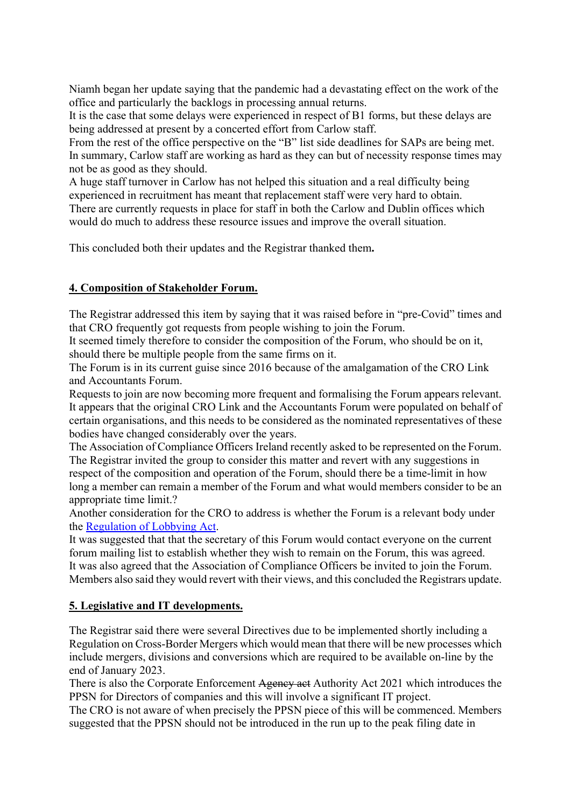Niamh began her update saying that the pandemic had a devastating effect on the work of the office and particularly the backlogs in processing annual returns.

It is the case that some delays were experienced in respect of B1 forms, but these delays are being addressed at present by a concerted effort from Carlow staff.

From the rest of the office perspective on the "B" list side deadlines for SAPs are being met. In summary, Carlow staff are working as hard as they can but of necessity response times may not be as good as they should.

A huge staff turnover in Carlow has not helped this situation and a real difficulty being experienced in recruitment has meant that replacement staff were very hard to obtain.

There are currently requests in place for staff in both the Carlow and Dublin offices which would do much to address these resource issues and improve the overall situation.

This concluded both their updates and the Registrar thanked them.

# 4. Composition of Stakeholder Forum.

The Registrar addressed this item by saying that it was raised before in "pre-Covid" times and that CRO frequently got requests from people wishing to join the Forum.

It seemed timely therefore to consider the composition of the Forum, who should be on it, should there be multiple people from the same firms on it.

The Forum is in its current guise since 2016 because of the amalgamation of the CRO Link and Accountants Forum.

Requests to join are now becoming more frequent and formalising the Forum appears relevant. It appears that the original CRO Link and the Accountants Forum were populated on behalf of certain organisations, and this needs to be considered as the nominated representatives of these bodies have changed considerably over the years.

The Association of Compliance Officers Ireland recently asked to be represented on the Forum. The Registrar invited the group to consider this matter and revert with any suggestions in respect of the composition and operation of the Forum, should there be a time-limit in how long a member can remain a member of the Forum and what would members consider to be an appropriate time limit.?

Another consideration for the CRO to address is whether the Forum is a relevant body under the Regulation of Lobbying Act.

It was suggested that that the secretary of this Forum would contact everyone on the current forum mailing list to establish whether they wish to remain on the Forum, this was agreed. It was also agreed that the Association of Compliance Officers be invited to join the Forum. Members also said they would revert with their views, and this concluded the Registrars update.

# 5. Legislative and IT developments.

The Registrar said there were several Directives due to be implemented shortly including a Regulation on Cross-Border Mergers which would mean that there will be new processes which include mergers, divisions and conversions which are required to be available on-line by the end of January 2023.

There is also the Corporate Enforcement Agency act Authority Act 2021 which introduces the PPSN for Directors of companies and this will involve a significant IT project.

The CRO is not aware of when precisely the PPSN piece of this will be commenced. Members suggested that the PPSN should not be introduced in the run up to the peak filing date in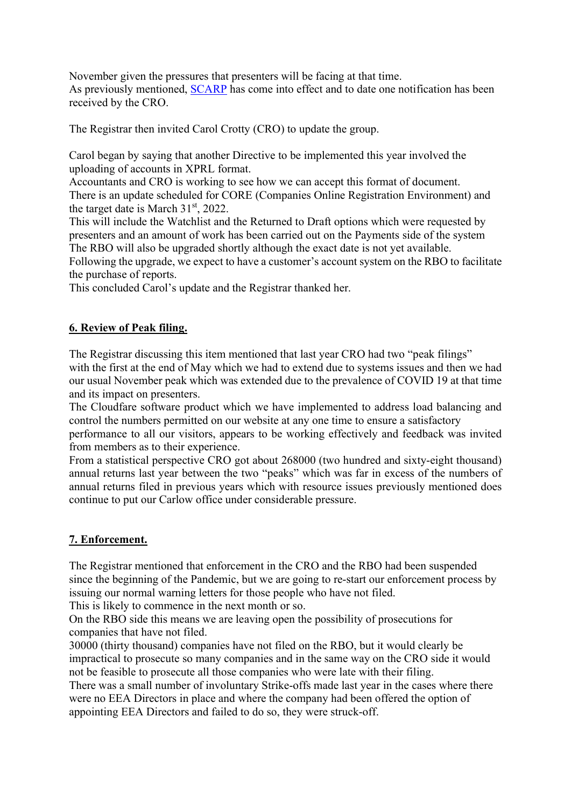November given the pressures that presenters will be facing at that time. As previously mentioned, SCARP has come into effect and to date one notification has been received by the CRO.

The Registrar then invited Carol Crotty (CRO) to update the group.

Carol began by saying that another Directive to be implemented this year involved the uploading of accounts in XPRL format.

Accountants and CRO is working to see how we can accept this format of document. There is an update scheduled for CORE (Companies Online Registration Environment) and the target date is March  $31<sup>st</sup>$ , 2022.

This will include the Watchlist and the Returned to Draft options which were requested by presenters and an amount of work has been carried out on the Payments side of the system The RBO will also be upgraded shortly although the exact date is not yet available.

Following the upgrade, we expect to have a customer's account system on the RBO to facilitate the purchase of reports.

This concluded Carol's update and the Registrar thanked her.

### 6. Review of Peak filing.

The Registrar discussing this item mentioned that last year CRO had two "peak filings" with the first at the end of May which we had to extend due to systems issues and then we had our usual November peak which was extended due to the prevalence of COVID 19 at that time and its impact on presenters.

The Cloudfare software product which we have implemented to address load balancing and control the numbers permitted on our website at any one time to ensure a satisfactory

performance to all our visitors, appears to be working effectively and feedback was invited from members as to their experience.

From a statistical perspective CRO got about 268000 (two hundred and sixty-eight thousand) annual returns last year between the two "peaks" which was far in excess of the numbers of annual returns filed in previous years which with resource issues previously mentioned does continue to put our Carlow office under considerable pressure.

# 7. Enforcement.

The Registrar mentioned that enforcement in the CRO and the RBO had been suspended since the beginning of the Pandemic, but we are going to re-start our enforcement process by issuing our normal warning letters for those people who have not filed.

This is likely to commence in the next month or so.

On the RBO side this means we are leaving open the possibility of prosecutions for companies that have not filed.

30000 (thirty thousand) companies have not filed on the RBO, but it would clearly be impractical to prosecute so many companies and in the same way on the CRO side it would not be feasible to prosecute all those companies who were late with their filing.

There was a small number of involuntary Strike-offs made last year in the cases where there were no EEA Directors in place and where the company had been offered the option of appointing EEA Directors and failed to do so, they were struck-off.